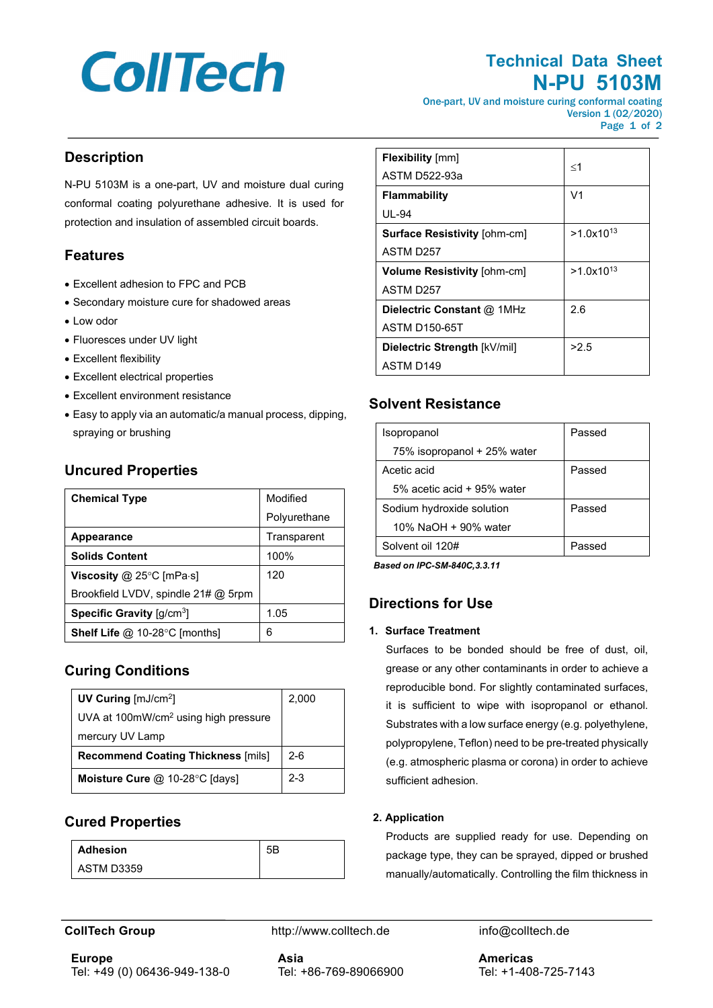# **CollTech**

# **Technical Data Sheet N-PU 5103M**

One-part, UV and moisture curing conformal coating Version 1 (02/2020) Page 1 of 2

### **Description**

N-PU 5103M is a one-part, UV and moisture dual curing conformal coating polyurethane adhesive. It is used for protection and insulation of assembled circuit boards.

### **Features**

- Excellent adhesion to FPC and PCB
- Secondary moisture cure for shadowed areas
- Low odor
- Fluoresces under UV light
- Excellent flexibility
- Excellent electrical properties
- Excellent environment resistance
- Easy to apply via an automatic/a manual process, dipping, spraying or brushing

| <b>Chemical Type</b>                       | Modified     |
|--------------------------------------------|--------------|
|                                            | Polyurethane |
| Appearance                                 | Transparent  |
| <b>Solids Content</b>                      | 100%         |
| Viscosity @ 25 $\degree$ C [mPa $\cdot$ s] | 120          |
| Brookfield LVDV, spindle 21# @ 5rpm        |              |
| Specific Gravity [q/cm <sup>3</sup> ]      | 1.05         |
| <b>Shelf Life @ 10-28°C [months]</b>       | հ            |

#### **Uncured Properties**

#### **Curing Conditions**

| UV Curing $\text{[mJ/cm²]}$                      | 2,000   |
|--------------------------------------------------|---------|
| UVA at 100mW/cm <sup>2</sup> using high pressure |         |
| mercury UV Lamp                                  |         |
| <b>Recommend Coating Thickness [mils]</b>        | $2 - 6$ |
| <b>Moisture Cure @ 10-28 °C [days]</b>           | $2 - 3$ |

#### **Cured Properties**

| <b>Adhesion</b> | 50 |
|-----------------|----|
| ASTM D3359      |    |

| <b>Flexibility</b> [mm]             |                |
|-------------------------------------|----------------|
| ASTM D522-93a                       | $\leq$ 1       |
| <b>Flammability</b>                 | V <sub>1</sub> |
| UL-94                               |                |
| <b>Surface Resistivity [ohm-cm]</b> | $>1.0x10^{13}$ |
| ASTM D257                           |                |
| <b>Volume Resistivity [ohm-cm]</b>  | $>1.0x10^{13}$ |
| ASTM D257                           |                |
| Dielectric Constant @ 1MHz          | 2.6            |
| <b>ASTM D150-65T</b>                |                |
| Dielectric Strength [kV/mil]        | >2.5           |
| ASTM D <sub>149</sub>               |                |

## **Solvent Resistance**

| Isopropanol                 | Passed |
|-----------------------------|--------|
| 75% isopropanol + 25% water |        |
| Acetic acid                 | Passed |
| 5% acetic acid + 95% water  |        |
| Sodium hydroxide solution   | Passed |
| 10% NaOH + 90% water        |        |
| Solvent oil 120#            | Passed |

*Based on IPC-SM-840C,3.3.11*

#### **Directions for Use**

#### **1. Surface Treatment**

Surfaces to be bonded should be free of dust, oil, grease or any other contaminants in order to achieve a reproducible bond. For slightly contaminated surfaces, it is sufficient to wipe with isopropanol or ethanol. Substrates with a low surface energy (e.g. polyethylene, polypropylene, Teflon) need to be pre-treated physically (e.g. atmospheric plasma or corona) in order to achieve sufficient adhesion.

#### **2. Application**

Products are supplied ready for use. Depending on package type, they can be sprayed, dipped or brushed manually/automatically. Controlling the film thickness in

**CollTech Group http://www.colltech.de** info@colltech.de

**Europe** Tel: +49 (0) 06436-949-138-0 **Asia** Tel: +86-769-89066900 **Americas** Tel: +1-408-725-7143